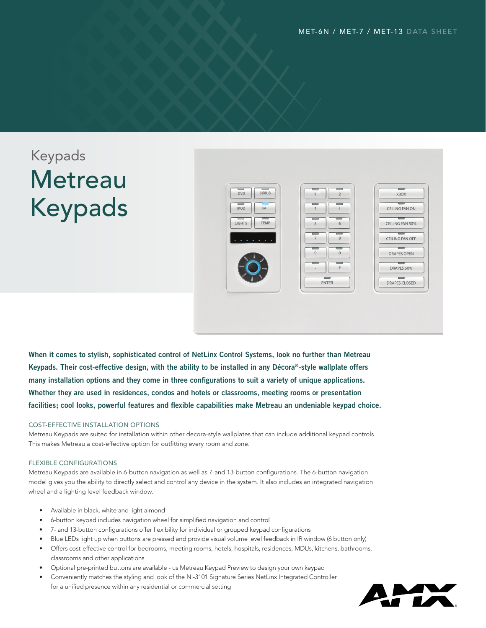# Keypads **Metreau** Keypads



**When it comes to stylish, sophisticated control of NetLinx Control Systems, look no further than Metreau Keypads. Their cost-effective design, with the ability to be installed in any Décora®-style wallplate offers many installation options and they come in three configurations to suit a variety of unique applications. Whether they are used in residences, condos and hotels or classrooms, meeting rooms or presentation facilities; cool looks, powerful features and flexible capabilities make Metreau an undeniable keypad choice.**

#### COST-EFFECTIVE INSTALLATION OPTIONS

Metreau Keypads are suited for installation within other decora-style wallplates that can include additional keypad controls. This makes Metreau a cost-effective option for outfitting every room and zone.

#### FLEXIBLE CONFIGURATIONS

Metreau Keypads are available in 6-button navigation as well as 7-and 13-button configurations. The 6-button navigation model gives you the ability to directly select and control any device in the system. It also includes an integrated navigation wheel and a lighting level feedback window.

- Available in black, white and light almond
- 6-button keypad includes navigation wheel for simplified navigation and control
- 7- and 13-button configurations offer flexibility for individual or grouped keypad configurations
- Blue LEDs light up when buttons are pressed and provide visual volume level feedback in IR window (6 button only)
- • Offers cost-effective control for bedrooms, meeting rooms, hotels, hospitals, residences, MDUs, kitchens, bathrooms, classrooms and other applications
- Optional pre-printed buttons are available us Metreau Keypad Preview to design your own keypad
- Conveniently matches the styling and look of the NI-3101 Signature Series NetLinx Integrated Controller for a unified presence within any residential or commercial setting